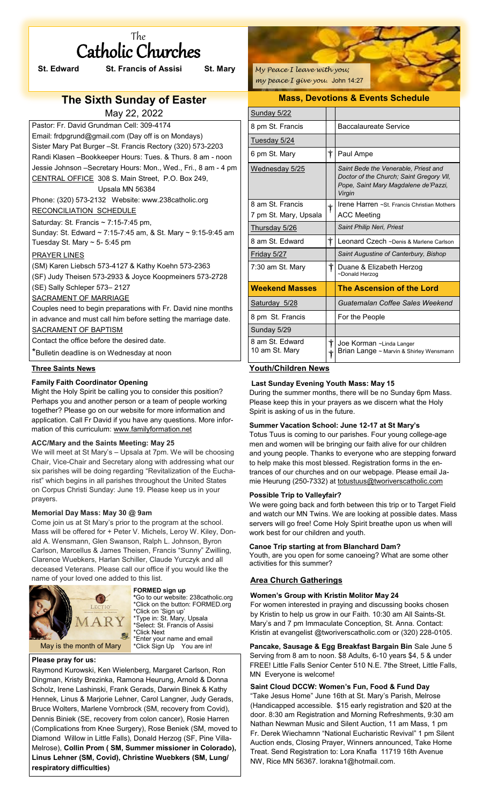| The |  |                   |  |  |
|-----|--|-------------------|--|--|
|     |  | Catholic Churches |  |  |

| <b>St. Edward</b>                                  | <b>St. Francis of Assisi</b> | St. Mary |  |
|----------------------------------------------------|------------------------------|----------|--|
|                                                    |                              |          |  |
| <b>The Sixth Sunday of Easter</b>                  |                              |          |  |
|                                                    | May 22, 2022                 |          |  |
| Pastor: Fr. David Grundman Cell: 309-4174          |                              |          |  |
| Email: frdpgrund@gmail.com (Day off is on Mondays) |                              |          |  |

Sister Mary Pat Burger –St. Francis Rectory (320) 573-2203 Randi Klasen –Bookkeeper Hours: Tues. & Thurs. 8 am - noon Jessie Johnson –Secretary Hours: Mon., Wed., Fri., 8 am - 4 pm CENTRAL OFFICE 308 S. Main Street, P.O. Box 249, Upsala MN 56384 Phone: (320) 573-2132 Website: www.238catholic.org

### RECONCILIATION SCHEDULE

Saturday: St. Francis  $\sim$  7:15-7:45 pm, Sunday: St. Edward ~ 7:15-7:45 am, & St. Mary ~ 9:15-9:45 am Tuesday St. Mary  $\sim$  5- 5:45 pm

### PRAYER LINES

(SM) Karen Liebsch 573-4127 & Kathy Koehn 573-2363

(SF) Judy Theisen 573-2933 & Joyce Koopmeiners 573-2728

(SE) Sally Schleper 573– 2127

# SACRAMENT OF MARRIAGE

Couples need to begin preparations with Fr. David nine months in advance and must call him before setting the marriage date. SACRAMENT OF BAPTISM

Contact the office before the desired date.

\*Bulletin deadline is on Wednesday at noon

## **Three Saints News**

## **Family Faith Coordinator Opening**

Might the Holy Spirit be calling you to consider this position? Perhaps you and another person or a team of people working together? Please go on our website for more information and application. Call Fr David if you have any questions. More information of this curriculum: [www.familyformation.net](http://www.familyformation.net)

### **ACC/Mary and the Saints Meeting: May 25**

We will meet at St Mary's – Upsala at 7pm. We will be choosing Chair, Vice-Chair and Secretary along with addressing what our six parishes will be doing regarding "Revitalization of the Eucharist" which begins in all parishes throughout the United States on Corpus Christi Sunday: June 19. Please keep us in your prayers.

### **Memorial Day Mass: May 30 @ 9am**

Come join us at St Mary's prior to the program at the school. Mass will be offered for + Peter V. Michels, Leroy W. Kiley, Donald A. Wensmann, Glen Swanson, Ralph L. Johnson, Byron Carlson, Marcellus & James Theisen, Francis "Sunny" Zwilling, Clarence Wuebkers, Harlan Schiller, Claude Yurczyk and all deceased Veterans. Please call our office if you would like the name of your loved one added to this list.



**FORMED sign up \***Go to our website: 238catholic.org \*Click on the button: FORMED.org \*Click on 'Sign up' \*Type in: St. Mary, Upsala \*Select: St. Francis of Assisi \*Click Next \*Enter your name and email \*Click Sign Up You are in!

### **Please pray for us:**

Raymond Kurowski, Ken Wielenberg, Margaret Carlson, Ron Dingman, Kristy Brezinka, Ramona Heurung, Arnold & Donna Scholz, Irene Lashinski, Frank Gerads, Darwin Binek & Kathy Hennek, Linus & Marjorie Lehner, Carol Langner, Judy Gerads, Bruce Wolters, Marlene Vornbrock (SM, recovery from Covid), Dennis Biniek (SE, recovery from colon cancer), Rosie Harren (Complications from Knee Surgery), Rose Beniek (SM, moved to Diamond Willow in Little Falls), Donald Herzog (SF, Pine Villa-Melrose), **Collin Prom ( SM, Summer missioner in Colorado), Linus Lehner (SM, Covid), Christine Wuebkers (SM, Lung/ respiratory difficulties)**

*My Peace I leave with you; my peace I give you.* John 14:27

## **Mass, Devotions & Events Schedule**

| Sunday 5/22                               |                         |                                                                                                                                    |
|-------------------------------------------|-------------------------|------------------------------------------------------------------------------------------------------------------------------------|
| 8 pm St. Francis                          |                         | Baccalaureate Service                                                                                                              |
| Tuesday 5/24                              |                         |                                                                                                                                    |
| 6 pm St. Mary                             | $^\dagger$              | Paul Ampe                                                                                                                          |
| Wednesday 5/25                            |                         | Saint Bede the Venerable, Priest and<br>Doctor of the Church: Saint Gregory VII.<br>Pope, Saint Mary Magdalene de'Pazzi,<br>Virgin |
| 8 am St. Francis<br>7 pm St. Mary, Upsala | $\overline{\mathbf{r}}$ | Irene Harren ~St. Francis Christian Mothers<br><b>ACC Meeting</b>                                                                  |
| Thursday 5/26                             |                         | Saint Philip Neri, Priest                                                                                                          |
| 8 am St. Fdward                           | $\bigstar$              | Leonard Czech ~Denis & Marlene Carlson                                                                                             |
| Friday 5/27                               |                         | Saint Augustine of Canterbury, Bishop                                                                                              |
| 7:30 am St. Mary                          | $\bm{\dagger}$          | Duane & Elizabeth Herzog<br>~Donald Herzog                                                                                         |
| <b>Weekend Masses</b>                     |                         | The Ascension of the Lord                                                                                                          |
| Saturday 5/28                             |                         | Guatemalan Coffee Sales Weekend                                                                                                    |
| 8 pm St. Francis                          |                         | For the People                                                                                                                     |
| Sunday 5/29                               |                         |                                                                                                                                    |
| 8 am St. Fdward<br>10 am St. Mary         | †<br>╈                  | Joe Korman ~Linda Langer<br>Brian Lange ~ Marvin & Shirley Wensmann                                                                |

# **Youth/Children News**

## **Last Sunday Evening Youth Mass: May 15**

During the summer months, there will be no Sunday 6pm Mass. Please keep this in your prayers as we discern what the Holy Spirit is asking of us in the future.

## **Summer Vacation School: June 12-17 at St Mary's**

Totus Tuus is coming to our parishes. Four young college-age men and women will be bringing our faith alive for our children and young people. Thanks to everyone who are stepping forward to help make this most blessed. Registration forms in the entrances of our churches and on our webpage. Please email Jamie Heurung (250-7332) at [totustuus@tworiverscatholic.com](mailto:totustuus@tworiverscatholic.com)

## **Possible Trip to Valleyfair?**

We were going back and forth between this trip or to Target Field and watch our MN Twins. We are looking at possible dates. Mass servers will go free! Come Holy Spirit breathe upon us when will work best for our children and youth.

### **Canoe Trip starting at from Blanchard Dam?**

Youth, are you open for some canoeing? What are some other activities for this summer?

## **Area Church Gatherings**

## **Women's Group with Kristin Molitor May 24**

For women interested in praying and discussing books chosen by Kristin to help us grow in our Faith. 10:30 am All Saints-St. Mary's and 7 pm Immaculate Conception, St. Anna. Contact: Kristin at evangelist @tworiverscatholic.com or (320) 228-0105.

**Pancake, Sausage & Egg Breakfast Bargain Bin** Sale June 5 Serving from 8 am to noon. \$8 Adults, 6-10 years \$4, 5 & under FREE! Little Falls Senior Center 510 N.E. 7the Street, Little Falls, MN Everyone is welcome!

### **Saint Cloud DCCW: Women's Fun, Food & Fund Day**

"Take Jesus Home" June 16th at St. Mary's Parish, Melrose (Handicapped accessible. \$15 early registration and \$20 at the door. 8:30 am Registration and Morning Refreshments, 9:30 am Nathan Newman Music and Silent Auction, 11 am Mass, 1 pm Fr. Derek Wiechamnn "National Eucharistic Revival" 1 pm Silent Auction ends, Closing Prayer, Winners announced, Take Home Treat. Send Registration to: Lora Knafla 11719 16th Avenue NW, Rice MN 56367. lorakna1@hotmail.com.